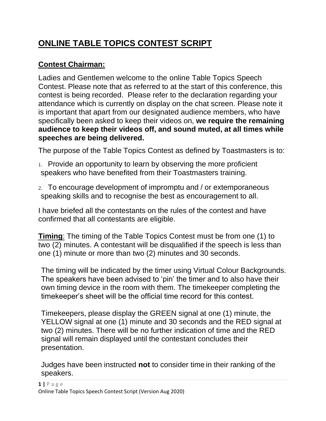# **ONLINE TABLE TOPICS CONTEST SCRIPT**

## **Contest Chairman:**

Ladies and Gentlemen welcome to the online Table Topics Speech Contest. Please note that as referred to at the start of this conference, this contest is being recorded. Please refer to the declaration regarding your attendance which is currently on display on the chat screen. Please note it is important that apart from our designated audience members, who have specifically been asked to keep their videos on, **we require the remaining audience to keep their videos off, and sound muted, at all times while speeches are being delivered.**

The purpose of the Table Topics Contest as defined by Toastmasters is to:

- 1. Provide an opportunity to learn by observing the more proficient speakers who have benefited from their Toastmasters training.
- 2. To encourage development of impromptu and / or extemporaneous speaking skills and to recognise the best as encouragement to all.

I have briefed all the contestants on the rules of the contest and have confirmed that all contestants are eligible.

**Timing**: The timing of the Table Topics Contest must be from one (1) to two (2) minutes. A contestant will be disqualified if the speech is less than one (1) minute or more than two (2) minutes and 30 seconds.

The timing will be indicated by the timer using Virtual Colour Backgrounds. The speakers have been advised to 'pin' the timer and to also have their own timing device in the room with them. The timekeeper completing the timekeeper's sheet will be the official time record for this contest.

Timekeepers, please display the GREEN signal at one (1) minute, the YELLOW signal at one (1) minute and 30 seconds and the RED signal at two (2) minutes. There will be no further indication of time and the RED signal will remain displayed until the contestant concludes their presentation.

Judges have been instructed **not** to consider time in their ranking of the speakers.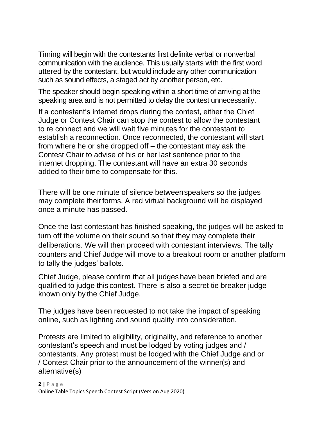Timing will begin with the contestants first definite verbal or nonverbal communication with the audience. This usually starts with the first word uttered by the contestant, but would include any other communication such as sound effects, a staged act by another person, etc.

The speaker should begin speaking within a short time of arriving at the speaking area and is not permitted to delay the contest unnecessarily.

If a contestant's internet drops during the contest, either the Chief Judge or Contest Chair can stop the contest to allow the contestant to re connect and we will wait five minutes for the contestant to establish a reconnection. Once reconnected, the contestant will start from where he or she dropped off – the contestant may ask the Contest Chair to advise of his or her last sentence prior to the internet dropping. The contestant will have an extra 30 seconds added to their time to compensate for this.

There will be one minute of silence betweenspeakers so the judges may complete their forms. A red virtual background will be displayed once a minute has passed.

Once the last contestant has finished speaking, the judges will be asked to turn off the volume on their sound so that they may complete their deliberations. We will then proceed with contestant interviews. The tally counters and Chief Judge will move to a breakout room or another platform to tally the judges' ballots.

Chief Judge, please confirm that all judges have been briefed and are qualified to judge this contest. There is also a secret tie breaker judge known only by the Chief Judge.

The judges have been requested to not take the impact of speaking online, such as lighting and sound quality into consideration.

Protests are limited to eligibility, originality, and reference to another contestant's speech and must be lodged by voting judges and / contestants. Any protest must be lodged with the Chief Judge and or / Contest Chair prior to the announcement of the winner(s) and alternative(s)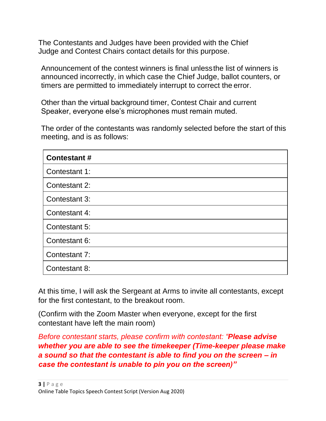The Contestants and Judges have been provided with the Chief Judge and Contest Chairs contact details for this purpose.

Announcement of the contest winners is final unlessthe list of winners is announced incorrectly, in which case the Chief Judge, ballot counters, or timers are permitted to immediately interrupt to correct the error.

Other than the virtual background timer, Contest Chair and current Speaker, everyone else's microphones must remain muted.

The order of the contestants was randomly selected before the start of this meeting, and is as follows:

| <b>Contestant#</b> |
|--------------------|
| Contestant 1:      |
| Contestant 2:      |
| Contestant 3:      |
| Contestant 4:      |
| Contestant 5:      |
| Contestant 6:      |
| Contestant 7:      |
| Contestant 8:      |

At this time, I will ask the Sergeant at Arms to invite all contestants, except for the first contestant, to the breakout room.

(Confirm with the Zoom Master when everyone, except for the first contestant have left the main room)

*Before contestant starts, please confirm with contestant: "Please advise whether you are able to see the timekeeper (Time-keeper please make a sound so that the contestant is able to find you on the screen – in case the contestant is unable to pin you on the screen)"*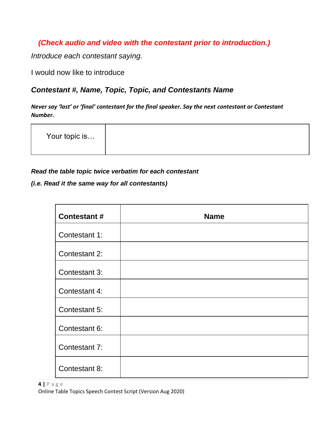### *(Check audio and video with the contestant prior to introduction.)*

*Introduce each contestant saying.*

I would now like to introduce

#### *Contestant #, Name, Topic, Topic, and Contestants Name*

*Never say 'last' or 'final' contestant for the final speaker. Say the next contestant or Contestant Number.*

| Your topic is |  |
|---------------|--|
|               |  |

#### *Read the table topic twice verbatim for each contestant*

*(i.e. Read it the same way for all contestants)*

| <b>Contestant#</b> | <b>Name</b> |
|--------------------|-------------|
| Contestant 1:      |             |
| Contestant 2:      |             |
| Contestant 3:      |             |
| Contestant 4:      |             |
| Contestant 5:      |             |
| Contestant 6:      |             |
| Contestant 7:      |             |
| Contestant 8:      |             |

**4 |** P a g e Online Table Topics Speech Contest Script (Version Aug 2020)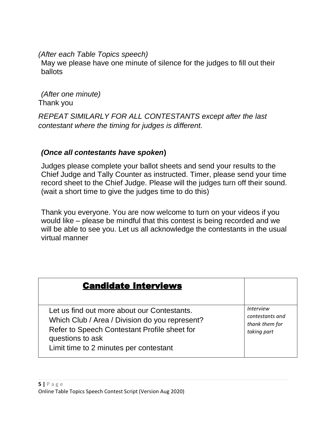*(After each Table Topics speech)*

May we please have one minute of silence for the judges to fill out their ballots

*(After one minute)* Thank you

*REPEAT SIMILARLY FOR ALL CONTESTANTS except after the last contestant where the timing for judges is different.*

#### *(Once all contestants have spoken***)**

Judges please complete your ballot sheets and send your results to the Chief Judge and Tally Counter as instructed. Timer, please send your time record sheet to the Chief Judge. Please will the judges turn off their sound. (wait a short time to give the judges time to do this)

Thank you everyone. You are now welcome to turn on your videos if you would like – please be mindful that this contest is being recorded and we will be able to see you. Let us all acknowledge the contestants in the usual virtual manner

| <b>Candidate Interviews</b>                                                                                                                                                                                 |                                                                      |
|-------------------------------------------------------------------------------------------------------------------------------------------------------------------------------------------------------------|----------------------------------------------------------------------|
| Let us find out more about our Contestants.<br>Which Club / Area / Division do you represent?<br>Refer to Speech Contestant Profile sheet for<br>questions to ask<br>Limit time to 2 minutes per contestant | <i>Interview</i><br>contestants and<br>thank them for<br>taking part |